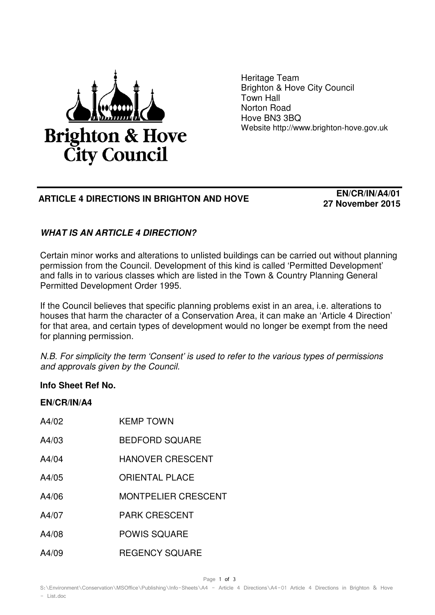

Heritage Team Brighton & Hove City Council Town Hall Norton Road Hove BN3 3BQ Website http://www.brighton-hove.gov.uk

## **ARTICLE 4 DIRECTIONS IN BRIGHTON AND HOVE EN/CR/IN/A4/01**

**27 November 2015**

## **WHAT IS AN ARTICLE 4 DIRECTION?**

Certain minor works and alterations to unlisted buildings can be carried out without planning permission from the Council. Development of this kind is called 'Permitted Development' and falls in to various classes which are listed in the Town & Country Planning General Permitted Development Order 1995.

If the Council believes that specific planning problems exist in an area, i.e. alterations to houses that harm the character of a Conservation Area, it can make an 'Article 4 Direction' for that area, and certain types of development would no longer be exempt from the need for planning permission.

N.B. For simplicity the term 'Consent' is used to refer to the various types of permissions and approvals given by the Council.

## **Info Sheet Ref No.**

**EN/CR/IN/A4** 

| A4/02 | <b>KEMP TOWN</b>           |
|-------|----------------------------|
| A4/03 | <b>BEDFORD SQUARE</b>      |
| A4/04 | <b>HANOVER CRESCENT</b>    |
| A4/05 | <b>ORIENTAL PLACE</b>      |
| A4/06 | <b>MONTPELIER CRESCENT</b> |
| A4/07 | <b>PARK CRESCENT</b>       |
| A4/08 | <b>POWIS SQUARE</b>        |
| A4/09 | <b>REGENCY SQUARE</b>      |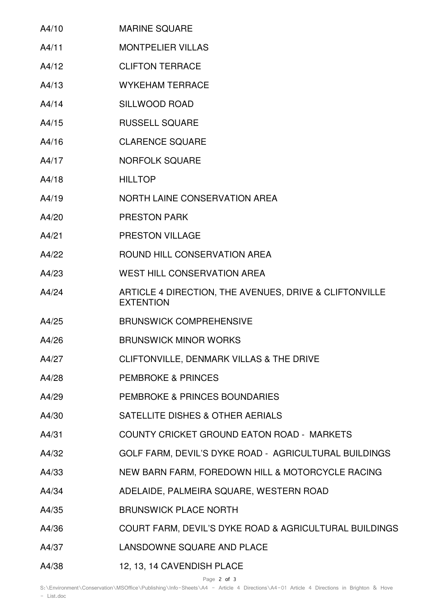| A4/10 | <b>MARINE SQUARE</b>                                                       |
|-------|----------------------------------------------------------------------------|
| A4/11 | <b>MONTPELIER VILLAS</b>                                                   |
| A4/12 | <b>CLIFTON TERRACE</b>                                                     |
| A4/13 | <b>WYKEHAM TERRACE</b>                                                     |
| A4/14 | <b>SILLWOOD ROAD</b>                                                       |
| A4/15 | <b>RUSSELL SQUARE</b>                                                      |
| A4/16 | <b>CLARENCE SQUARE</b>                                                     |
| A4/17 | <b>NORFOLK SQUARE</b>                                                      |
| A4/18 | <b>HILLTOP</b>                                                             |
| A4/19 | NORTH LAINE CONSERVATION AREA                                              |
| A4/20 | <b>PRESTON PARK</b>                                                        |
| A4/21 | <b>PRESTON VILLAGE</b>                                                     |
| A4/22 | ROUND HILL CONSERVATION AREA                                               |
| A4/23 | <b>WEST HILL CONSERVATION AREA</b>                                         |
| A4/24 | ARTICLE 4 DIRECTION, THE AVENUES, DRIVE & CLIFTONVILLE<br><b>EXTENTION</b> |
| A4/25 | <b>BRUNSWICK COMPREHENSIVE</b>                                             |
| A4/26 | <b>BRUNSWICK MINOR WORKS</b>                                               |
| A4/27 | CLIFTONVILLE, DENMARK VILLAS & THE DRIVE                                   |
| A4/28 | <b>PEMBROKE &amp; PRINCES</b>                                              |
| A4/29 | PEMBROKE & PRINCES BOUNDARIES                                              |
| A4/30 | SATELLITE DISHES & OTHER AERIALS                                           |
| A4/31 | COUNTY CRICKET GROUND EATON ROAD - MARKETS                                 |
| A4/32 | GOLF FARM, DEVIL'S DYKE ROAD - AGRICULTURAL BUILDINGS                      |
| A4/33 | NEW BARN FARM, FOREDOWN HILL & MOTORCYCLE RACING                           |
| A4/34 | ADELAIDE, PALMEIRA SQUARE, WESTERN ROAD                                    |
| A4/35 | <b>BRUNSWICK PLACE NORTH</b>                                               |
| A4/36 | COURT FARM, DEVIL'S DYKE ROAD & AGRICULTURAL BUILDINGS                     |
| A4/37 | LANSDOWNE SQUARE AND PLACE                                                 |
| A4/38 | 12, 13, 14 CAVENDISH PLACE                                                 |